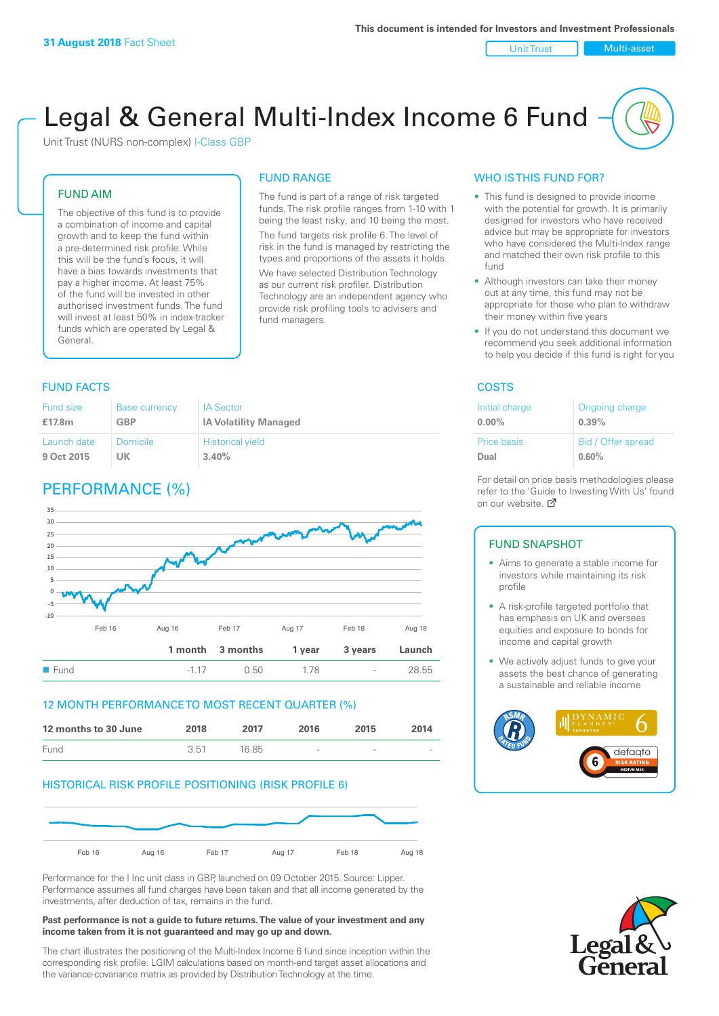Unit Trust Nulti-asset

# Legal & General Multi-Index Income 6 Fund

Unit Trust (NURS non-complex) I-Class GBP

#### FUND AIM

The objective of this fund is to provide a combination of income and capital growth and to keep the fund within a pre-determined risk profile. While this will be the fund's focus, it will have a bias towards investments that pay a higher income. At least 75% of the fund will be invested in other authorised investment funds. The fund will invest at least 50% in index-tracker funds which are operated by Legal & General.

# FUND RANGE

The fund is part of a range of risk targeted funds. The risk profile ranges from 1-10 with 1 being the least risky, and 10 being the most. The fund targets risk profile 6. The level of risk in the fund is managed by restricting the

types and proportions of the assets it holds. We have selected Distribution Technology as our current risk profiler. Distribution Technology are an independent agency who provide risk profiling tools to advisers and fund managers.

#### **FUND FACTS** COSTS

| <b>Fund size</b> | <b>Base currency</b> | <b>IA Sector</b>             |
|------------------|----------------------|------------------------------|
| £17.8m           | <b>GBP</b>           | <b>IA Volatility Managed</b> |
| Launch date      | <b>Domicile</b>      | <b>Historical yield</b>      |
| 9 Oct 2015       | UK                   | 3.40%                        |

# PERFORMANCE (%)



#### 12 MONTH PERFORMANCE TO MOST RECENT QUARTER (%)

| 12 months to 30 June | 2018 | 2017  | 2016            | 2015   | 2014   |
|----------------------|------|-------|-----------------|--------|--------|
| Fund                 | 3.51 | 16.85 | $\qquad \qquad$ | $\sim$ | $\sim$ |

#### HISTORICAL RISK PROFILE POSITIONING (RISK PROFILE 6)



Performance for the I Inc unit class in GBP, launched on 09 October 2015. Source: Lipper. Performance assumes all fund charges have been taken and that all income generated by the investments, after deduction of tax, remains in the fund.

#### **Past performance is not a guide to future returns. The value of your investment and any income taken from it is not guaranteed and may go up and down.**

The chart illustrates the positioning of the Multi-Index Income 6 fund since inception within the corresponding risk profile. LGIM calculations based on month-end target asset allocations and the variance-covariance matrix as provided by Distribution Technology at the time.

#### WHO IS THIS FUND FOR?

- This fund is designed to provide income with the potential for growth. It is primarily designed for investors who have received advice but may be appropriate for investors who have considered the Multi-Index range and matched their own risk profile to this fund
- Although investors can take their money out at any time, this fund may not be appropriate for those who plan to withdraw their money within five years
- If you do not understand this document we recommend you seek additional information to help you decide if this fund is right for you

| Initial charge | Ongoing charge     |
|----------------|--------------------|
| $0.00\%$       | 0.39%              |
| Price basis    | Bid / Offer spread |
| Dual           | 0.60%              |

For detail on price basis methodologies please refer to the 'Gu[ide t](http://www.legalandgeneral.com/guide)o Investing With Us' found on our website. Ø

#### FUND SNAPSHOT

- Aims to generate a stable income for investors while maintaining its risk profile
- A risk-profile targeted portfolio that has emphasis on UK and overseas equities and exposure to bonds for income and capital growth
- We actively adjust funds to give your assets the best chance of generating a sustainable and reliable income



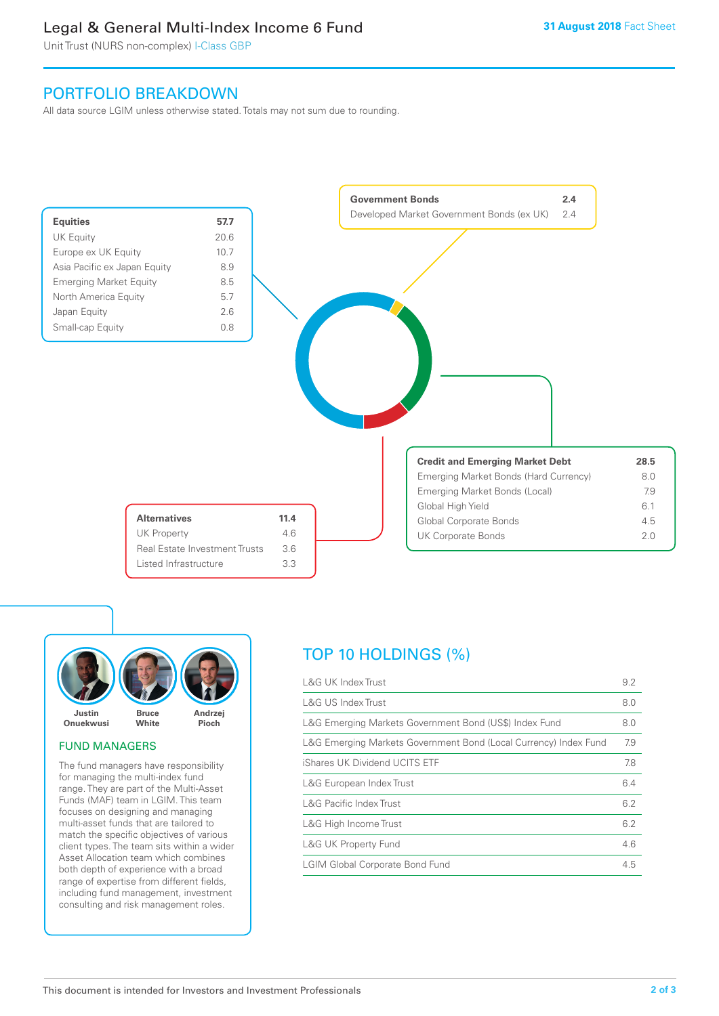# Legal & General Multi-Index Income 6 Fund

Unit Trust (NURS non-complex) I-Class GBP

## PORTFOLIO BREAKDOWN

All data source LGIM unless otherwise stated. Totals may not sum due to rounding.





#### FUND MANAGERS

The fund managers have responsibility for managing the multi-index fund range. They are part of the Multi-Asset Funds (MAF) team in LGIM. This team focuses on designing and managing multi-asset funds that are tailored to match the specific objectives of various client types. The team sits within a wider Asset Allocation team which combines both depth of experience with a broad range of expertise from different fields, including fund management, investment consulting and risk management roles.

# TOP 10 HOLDINGS (%)

| <b>L&amp;G UK Index Trust</b>                                    | 9.2 |
|------------------------------------------------------------------|-----|
| <b>L&amp;G US Index Trust</b>                                    | 8.0 |
| L&G Emerging Markets Government Bond (US\$) Index Fund           | 8.0 |
| L&G Emerging Markets Government Bond (Local Currency) Index Fund | 7.9 |
| iShares UK Dividend UCITS ETF                                    | 7.8 |
| L&G European Index Trust                                         | 6.4 |
| <b>L&amp;G Pacific Index Trust</b>                               | 6.2 |
| L&G High Income Trust                                            | 6.2 |
| L&G UK Property Fund                                             | 4.6 |
| <b>LGIM Global Corporate Bond Fund</b>                           | 4.5 |